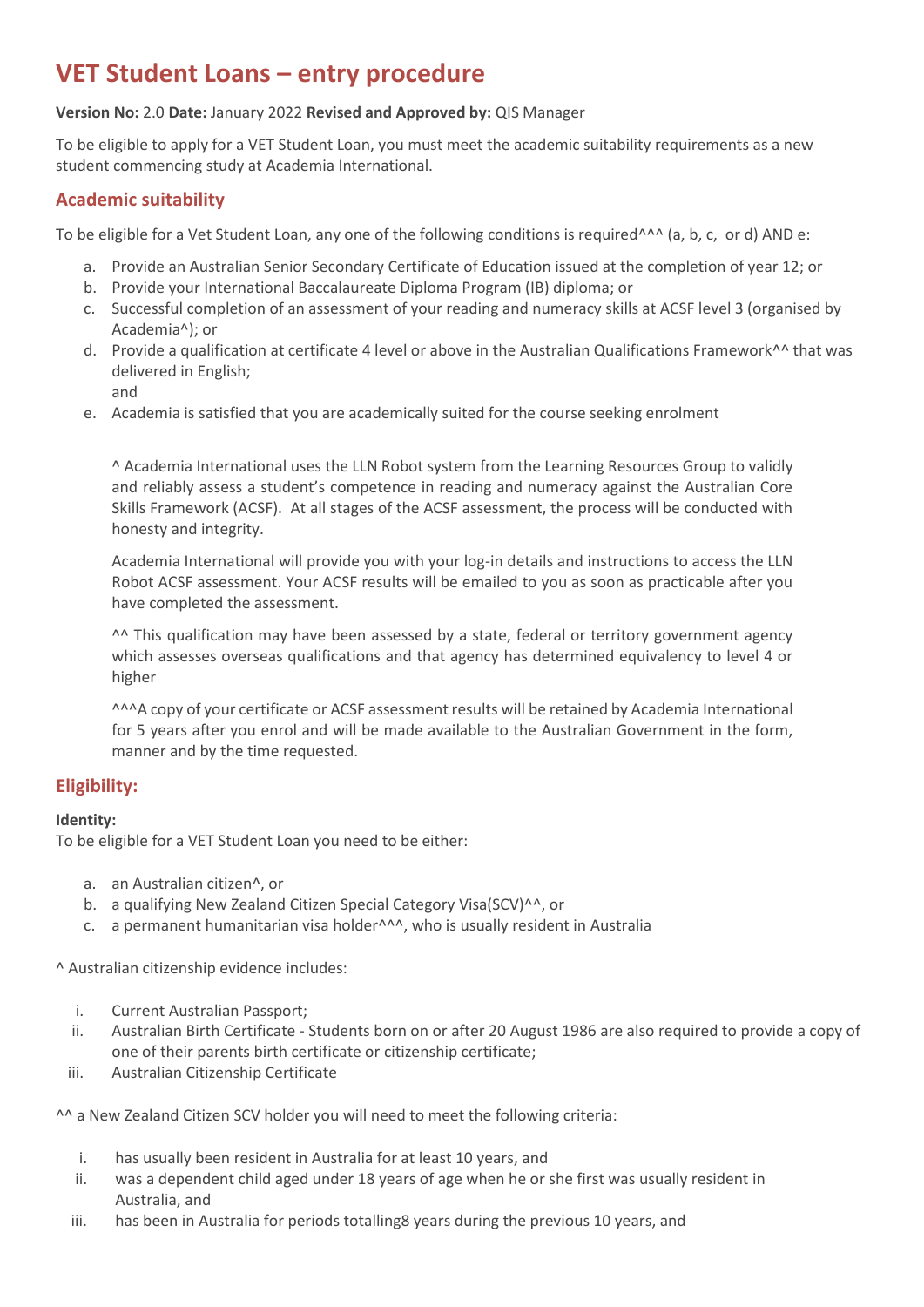# **VET Student Loans – entry procedure**

## **Version No:** 2.0 **Date:** January 2022 **Revised and Approved by:** QIS Manager

To be eligible to apply for a VET Student Loan, you must meet the academic suitability requirements as a new student commencing study at Academia International.

# **Academic suitability**

To be eligible for a Vet Student Loan, any one of the following conditions is required<sup>^^^</sup> (a, b, c, or d) AND e:

- a. Provide an Australian Senior Secondary Certificate of Education issued at the completion of year 12; or
- b. Provide your International Baccalaureate Diploma Program (IB) diploma; or
- c. Successful completion of an assessment of your reading and numeracy skills at ACSF level 3 (organised by Academia^); or
- d. Provide a qualification at certificate 4 level or above in the Australian Qualifications Framework^^ that was delivered in English; and
- e. Academia is satisfied that you are academically suited for the course seeking enrolment

^ Academia International uses the LLN Robot system from the Learning Resources Group to validly and reliably assess a student's competence in reading and numeracy against the Australian Core Skills Framework (ACSF). At all stages of the ACSF assessment, the process will be conducted with honesty and integrity.

Academia International will provide you with your log-in details and instructions to access the LLN Robot ACSF assessment. Your ACSF results will be emailed to you as soon as practicable after you have completed the assessment.

^^ This qualification may have been assessed by a state, federal or territory government agency which assesses overseas qualifications and that agency has determined equivalency to level 4 or higher

^^^A copy of your certificate or ACSF assessment results will be retained by Academia International for 5 years after you enrol and will be made available to the Australian Government in the form, manner and by the time requested.

# **Eligibility:**

#### **Identity:**

To be eligible for a VET Student Loan you need to be either:

- a. an Australian citizen^, or
- b. a qualifying New Zealand Citizen Special Category Visa(SCV)^^, or
- c. a permanent humanitarian visa holder<sup>^^^</sup>, who is usually resident in Australia

^ Australian citizenship evidence includes:

- i. Current Australian Passport;
- ii. Australian Birth Certificate Students born on or after 20 August 1986 are also required to provide a copy of one of their parents birth certificate or citizenship certificate;
- iii. Australian Citizenship Certificate

^^ a New Zealand Citizen SCV holder you will need to meet the following criteria:

- i. has usually been resident in Australia for at least 10 years, and
- ii. was a dependent child aged under 18 years of age when he or she first was usually resident in Australia, and
- iii. has been in Australia for periods totalling8 years during the previous 10 years, and